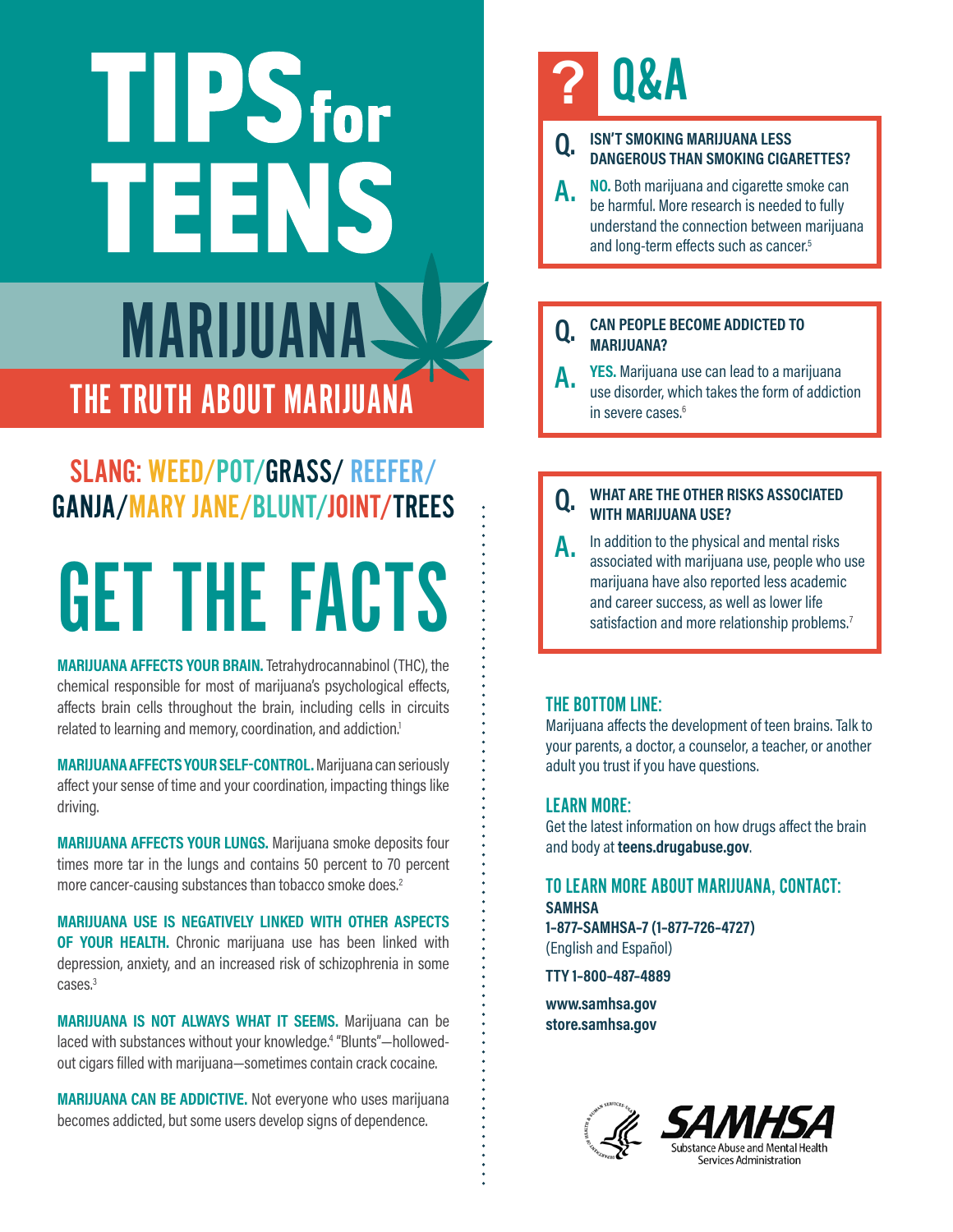# TIPSfor TEENS MARIJUANA THE TRUTH ABOUT MARIJUANA

#### SLANG: WEED/POT/GRASS/ REEFER/ GANJA/MARY JANE/BLUNT/JOINT/TREES

# GET THE FACTS

**MARIJUANA AFFECTS YOUR BRAIN.** Tetrahydrocannabinol (THC), the chemical responsible for most of marijuana's psychological effects, affects brain cells throughout the brain, including cells in circuits related to learning and memory, coordination, and addiction.<sup>1</sup>

**MARIJUANA AFFECTS YOUR SELF-CONTROL.** Marijuana can seriously affect your sense of time and your coordination, impacting things like driving.

**MARIJUANA AFFECTS YOUR LUNGS.** Marijuana smoke deposits four times more tar in the lungs and contains 50 percent to 70 percent more cancer-causing substances than tobacco smoke does.<sup>2</sup>

**MARIJUANA USE IS NEGATIVELY LINKED WITH OTHER ASPECTS OF YOUR HEALTH.** Chronic marijuana use has been linked with depression, anxiety, and an increased risk of schizophrenia in some cases.<sup>3</sup>

**MARIJUANA IS NOT ALWAYS WHAT IT SEEMS.** Marijuana can be laced with substances without your knowledge. 4 "Blunts"—hollowedout cigars filled with marijuana—sometimes contain crack cocaine.

**MARIJUANA CAN BE ADDICTIVE.** Not everyone who uses marijuana becomes addicted, but some users develop signs of dependence.

### **?** Q&A

#### **Q. ISN'T SMOKING MARIJUANA LESS DANGEROUS THAN SMOKING CIGARETTES?**

**A. NO.** Both marijuana and cigarette smoke can be harmful. More research is needed to fully understand the connection between marijuana and long-term effects such as cancer.<sup>5</sup>

#### **Q. CAN PEOPLE BECOME ADDICTED TO MARIJUANA?**

**YES.** Marijuana use can lead to a marijuana use disorder, which takes the form of addiction in severe cases.<sup>6</sup>

#### **Q. WHAT ARE THE OTHER RISKS ASSOCIATED WITH MARIJUANA USE?**

**A.** In addition to the physical and mental risks associated with marijuana use, people who use marijuana have also reported less academic and career success, as well as lower life satisfaction and more relationship problems.<sup>7</sup>

#### THE BOTTOM LINE:

Marijuana affects the development of teen brains. Talk to your parents, a doctor, a counselor, a teacher, or another adult you trust if you have questions.

#### LEARN MORE:

Get the latest information on how drugs affect the brain and body at **[teens.drugabuse.gov](http://teens.drugabuse.gov)**.

#### TO LEARN MORE ABOUT MARIJUANA, CONTACT: **SAMHSA 1–877–SAMHSA–7 (1–877–726–4727)**

(English and Español)

**TTY 1–800–487–4889**

**[www.samhsa.gov](https://www.samhsa.gov) [store.samhsa.gov](http://store.samhsa.gov)**